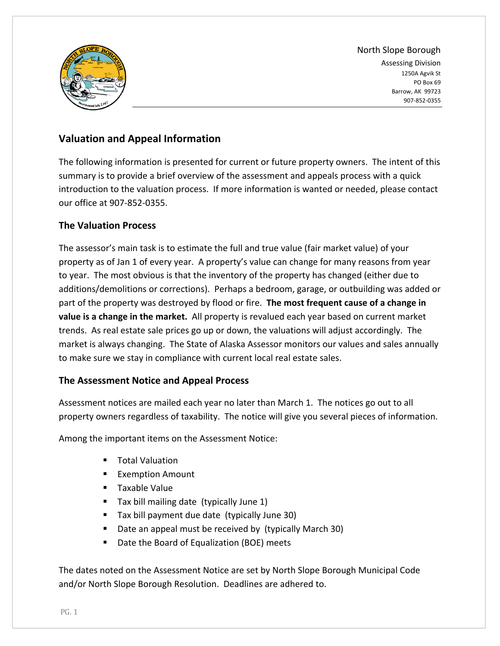

North Slope Borough Assessing Division 1250A Agvik St PO Box 69 Barrow, AK 99723 907‐852‐0355

# **Valuation and Appeal Information**

The following information is presented for current or future property owners. The intent of this summary is to provide a brief overview of the assessment and appeals process with a quick introduction to the valuation process. If more information is wanted or needed, please contact our office at 907‐852‐0355.

# **The Valuation Process**

The assessor's main task is to estimate the full and true value (fair market value) of your property as of Jan 1 of every year. A property's value can change for many reasons from year to year. The most obvious is that the inventory of the property has changed (either due to additions/demolitions or corrections). Perhaps a bedroom, garage, or outbuilding was added or part of the property was destroyed by flood or fire. **The most frequent cause of a change in value is a change in the market.** All property is revalued each year based on current market trends. As real estate sale prices go up or down, the valuations will adjust accordingly. The market is always changing. The State of Alaska Assessor monitors our values and sales annually to make sure we stay in compliance with current local real estate sales.

# **The Assessment Notice and Appeal Process**

Assessment notices are mailed each year no later than March 1. The notices go out to all property owners regardless of taxability. The notice will give you several pieces of information.

Among the important items on the Assessment Notice:

- Total Valuation
- **Exemption Amount**
- **Taxable Value**
- Tax bill mailing date (typically June 1)
- Tax bill payment due date (typically June 30)
- Date an appeal must be received by (typically March 30)
- Date the Board of Equalization (BOE) meets

The dates noted on the Assessment Notice are set by North Slope Borough Municipal Code and/or North Slope Borough Resolution. Deadlines are adhered to.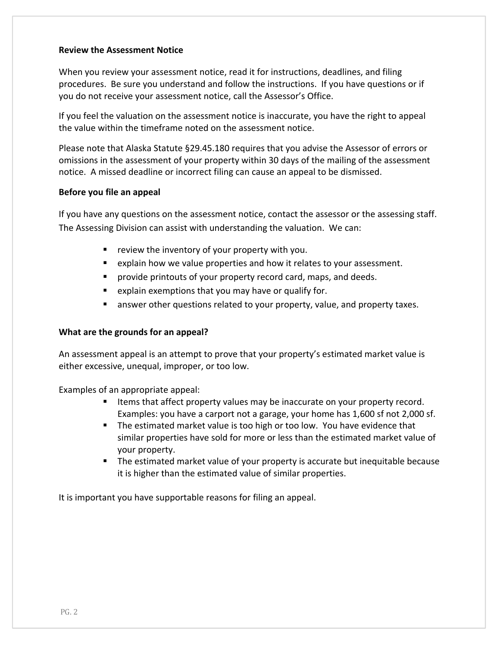### **Review the Assessment Notice**

When you review your assessment notice, read it for instructions, deadlines, and filing procedures. Be sure you understand and follow the instructions. If you have questions or if you do not receive your assessment notice, call the Assessor's Office.

If you feel the valuation on the assessment notice is inaccurate, you have the right to appeal the value within the timeframe noted on the assessment notice.

Please note that Alaska Statute §29.45.180 requires that you advise the Assessor of errors or omissions in the assessment of your property within 30 days of the mailing of the assessment notice. A missed deadline or incorrect filing can cause an appeal to be dismissed.

#### **Before you file an appeal**

If you have any questions on the assessment notice, contact the assessor or the assessing staff. The Assessing Division can assist with understanding the valuation. We can:

- $\blacksquare$  review the inventory of your property with you.
- explain how we value properties and how it relates to your assessment.
- **Perovide printouts of your property record card, maps, and deeds.**
- **E** explain exemptions that you may have or qualify for.
- **E** answer other questions related to your property, value, and property taxes.

### **What are the grounds for an appeal?**

An assessment appeal is an attempt to prove that your property's estimated market value is either excessive, unequal, improper, or too low.

Examples of an appropriate appeal:

- **If the status is that affect property values may be inaccurate on your property record.** Examples: you have a carport not a garage, your home has 1,600 sf not 2,000 sf.
- The estimated market value is too high or too low. You have evidence that similar properties have sold for more or less than the estimated market value of your property.
- **The estimated market value of your property is accurate but inequitable because** it is higher than the estimated value of similar properties.

It is important you have supportable reasons for filing an appeal.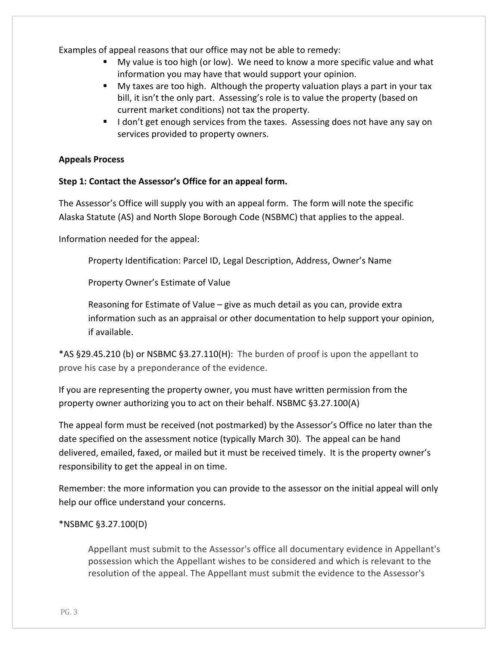Examples of appeal reasons that our office may not be able to remedy:

- My value is too high (or low). We need to know a more specific value and what information you may have that would support your opinion.
- My taxes are too high. Although the property valuation plays a part in your tax bill, it isn't the only part. Assessing's role is to value the property (based on current market conditions) not tax the property.
- I don't get enough services from the taxes. Assessing does not have any say on services provided to property owners.

### **Appeals Process**

### **Step 1: Contact the Assessor's Office for an appeal form.**

The Assessor's Office will supply you with an appeal form. The form will note the specific Alaska Statute (AS) and North Slope Borough Code (NSBMC) that applies to the appeal.

Information needed for the appeal:

Property Identification: Parcel ID, Legal Description, Address, Owner's Name

Property Owner's Estimate of Value

Reasoning for Estimate of Value – give as much detail as you can, provide extra information such as an appraisal or other documentation to help support your opinion, if available.

\*AS §29.45.210 (b) or NSBMC §3.27.110(H): The burden of proof is upon the appellant to prove his case by a preponderance of the evidence.

If you are representing the property owner, you must have written permission from the property owner authorizing you to act on their behalf. NSBMC §3.27.100(A)

The appeal form must be received (not postmarked) by the Assessor's Office no later than the date specified on the assessment notice (typically March 30). The appeal can be hand delivered, emailed, faxed, or mailed but it must be received timely. It is the property owner's responsibility to get the appeal in on time.

Remember: the more information you can provide to the assessor on the initial appeal will only help our office understand your concerns.

### \*NSBMC §3.27.100(D)

Appellant must submit to the Assessor's office all documentary evidence in Appellant's possession which the Appellant wishes to be considered and which is relevant to the resolution of the appeal. The Appellant must submit the evidence to the Assessor's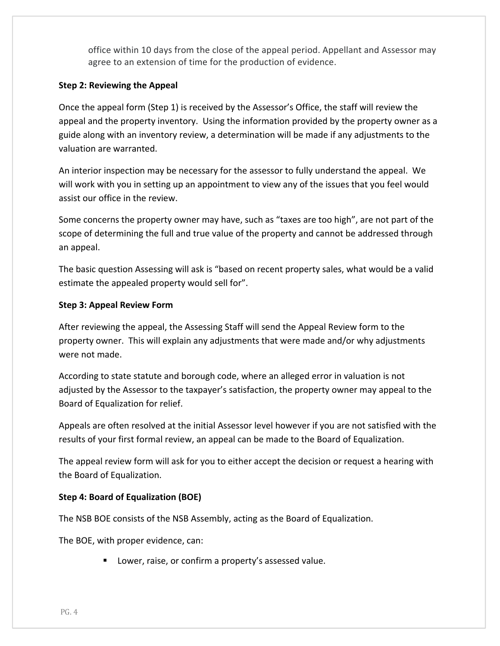office within 10 days from the close of the appeal period. Appellant and Assessor may agree to an extension of time for the production of evidence.

### **Step 2: Reviewing the Appeal**

Once the appeal form (Step 1) is received by the Assessor's Office, the staff will review the appeal and the property inventory. Using the information provided by the property owner as a guide along with an inventory review, a determination will be made if any adjustments to the valuation are warranted.

An interior inspection may be necessary for the assessor to fully understand the appeal. We will work with you in setting up an appointment to view any of the issues that you feel would assist our office in the review.

Some concerns the property owner may have, such as "taxes are too high", are not part of the scope of determining the full and true value of the property and cannot be addressed through an appeal.

The basic question Assessing will ask is "based on recent property sales, what would be a valid estimate the appealed property would sell for".

### **Step 3: Appeal Review Form**

After reviewing the appeal, the Assessing Staff will send the Appeal Review form to the property owner. This will explain any adjustments that were made and/or why adjustments were not made.

According to state statute and borough code, where an alleged error in valuation is not adjusted by the Assessor to the taxpayer's satisfaction, the property owner may appeal to the Board of Equalization for relief.

Appeals are often resolved at the initial Assessor level however if you are not satisfied with the results of your first formal review, an appeal can be made to the Board of Equalization.

The appeal review form will ask for you to either accept the decision or request a hearing with the Board of Equalization.

# **Step 4: Board of Equalization (BOE)**

The NSB BOE consists of the NSB Assembly, acting as the Board of Equalization.

The BOE, with proper evidence, can:

**Lower, raise, or confirm a property's assessed value.**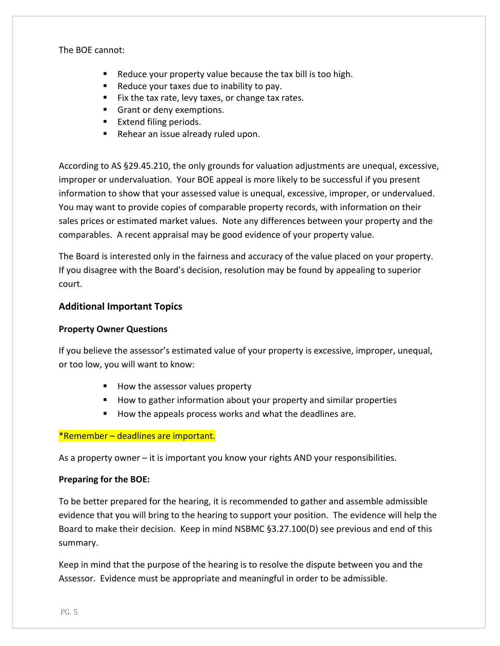The BOE cannot:

- $\blacksquare$  Reduce your property value because the tax bill is too high.
- $\blacksquare$  Reduce your taxes due to inability to pay.
- $\blacksquare$  Fix the tax rate, levy taxes, or change tax rates.
- Grant or deny exemptions.
- **Extend filing periods.**
- Rehear an issue already ruled upon.

According to AS §29.45.210, the only grounds for valuation adjustments are unequal, excessive, improper or undervaluation. Your BOE appeal is more likely to be successful if you present information to show that your assessed value is unequal, excessive, improper, or undervalued. You may want to provide copies of comparable property records, with information on their sales prices or estimated market values. Note any differences between your property and the comparables. A recent appraisal may be good evidence of your property value.

The Board is interested only in the fairness and accuracy of the value placed on your property. If you disagree with the Board's decision, resolution may be found by appealing to superior court.

## **Additional Important Topics**

### **Property Owner Questions**

If you believe the assessor's estimated value of your property is excessive, improper, unequal, or too low, you will want to know:

- How the assessor values property
- How to gather information about your property and similar properties
- How the appeals process works and what the deadlines are.

### \*Remember – deadlines are important.

As a property owner – it is important you know your rights AND your responsibilities.

### **Preparing for the BOE:**

To be better prepared for the hearing, it is recommended to gather and assemble admissible evidence that you will bring to the hearing to support your position. The evidence will help the Board to make their decision. Keep in mind NSBMC §3.27.100(D) see previous and end of this summary.

Keep in mind that the purpose of the hearing is to resolve the dispute between you and the Assessor. Evidence must be appropriate and meaningful in order to be admissible.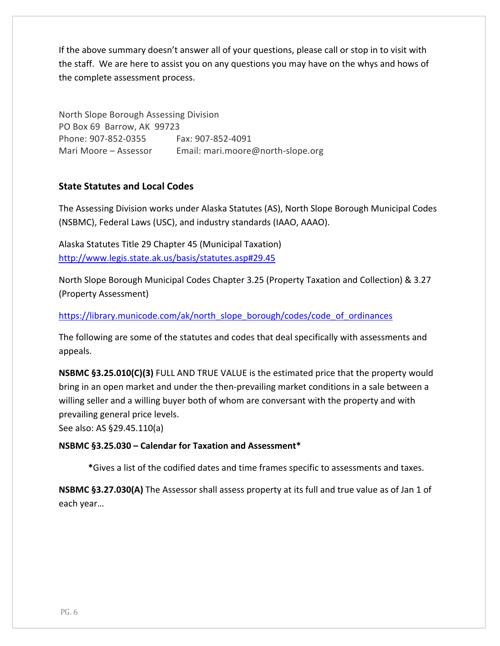If the above summary doesn't answer all of your questions, please call or stop in to visit with the staff. We are here to assist you on any questions you may have on the whys and hows of the complete assessment process.

North Slope Borough Assessing Division PO Box 69 Barrow, AK 99723 Phone: 907‐852‐0355 Fax: 907‐852‐4091 Mari Moore – Assessor Email: mari.moore@north-slope.org

# **State Statutes and Local Codes**

The Assessing Division works under Alaska Statutes (AS), North Slope Borough Municipal Codes (NSBMC), Federal Laws (USC), and industry standards (IAAO, AAAO).

Alaska Statutes Title 29 Chapter 45 (Municipal Taxation) http://www.legis.state.ak.us/basis/statutes.asp#29.45

North Slope Borough Municipal Codes Chapter 3.25 (Property Taxation and Collection) & 3.27 (Property Assessment)

https://library.municode.com/ak/north\_slope\_borough/codes/code\_of\_ordinances

The following are some of the statutes and codes that deal specifically with assessments and appeals.

**NSBMC §3.25.010(C)(3)** FULL AND TRUE VALUE is the estimated price that the property would bring in an open market and under the then‐prevailing market conditions in a sale between a willing seller and a willing buyer both of whom are conversant with the property and with prevailing general price levels.

See also: AS §29.45.110(a)

**NSBMC §3.25.030 – Calendar for Taxation and Assessment\***

**\***Gives a list of the codified dates and time frames specific to assessments and taxes.

**NSBMC §3.27.030(A)** The Assessor shall assess property at its full and true value as of Jan 1 of each year…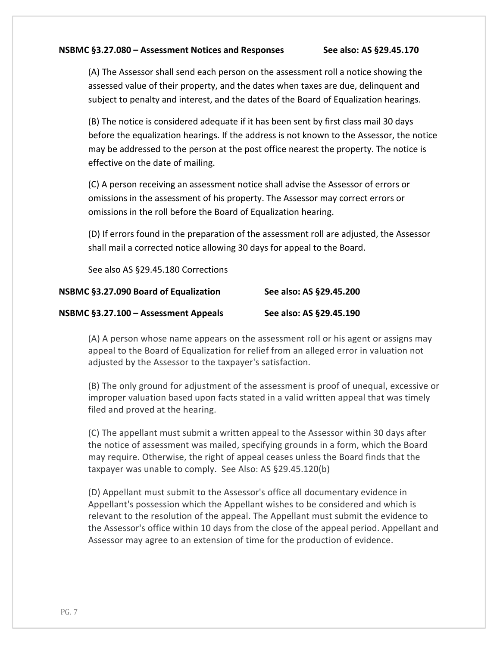#### **NSBMC §3.27.080 – Assessment Notices and Responses See also: AS §29.45.170**

(A) The Assessor shall send each person on the assessment roll a notice showing the assessed value of their property, and the dates when taxes are due, delinquent and subject to penalty and interest, and the dates of the Board of Equalization hearings.

(B) The notice is considered adequate if it has been sent by first class mail 30 days before the equalization hearings. If the address is not known to the Assessor, the notice may be addressed to the person at the post office nearest the property. The notice is effective on the date of mailing.

(C) A person receiving an assessment notice shall advise the Assessor of errors or omissions in the assessment of his property. The Assessor may correct errors or omissions in the roll before the Board of Equalization hearing.

(D) If errors found in the preparation of the assessment roll are adjusted, the Assessor shall mail a corrected notice allowing 30 days for appeal to the Board.

See also AS §29.45.180 Corrections

| NSBMC §3.27.090 Board of Equalization | See also: AS §29.45.200 |
|---------------------------------------|-------------------------|
| NSBMC §3.27.100 - Assessment Appeals  | See also: AS §29.45.190 |

(A) A person whose name appears on the assessment roll or his agent or assigns may appeal to the Board of Equalization for relief from an alleged error in valuation not adjusted by the Assessor to the taxpayer's satisfaction.

(B) The only ground for adjustment of the assessment is proof of unequal, excessive or improper valuation based upon facts stated in a valid written appeal that was timely filed and proved at the hearing.

(C) The appellant must submit a written appeal to the Assessor within 30 days after the notice of assessment was mailed, specifying grounds in a form, which the Board may require. Otherwise, the right of appeal ceases unless the Board finds that the taxpayer was unable to comply. See Also: AS §29.45.120(b)

(D) Appellant must submit to the Assessor's office all documentary evidence in Appellant's possession which the Appellant wishes to be considered and which is relevant to the resolution of the appeal. The Appellant must submit the evidence to the Assessor's office within 10 days from the close of the appeal period. Appellant and Assessor may agree to an extension of time for the production of evidence.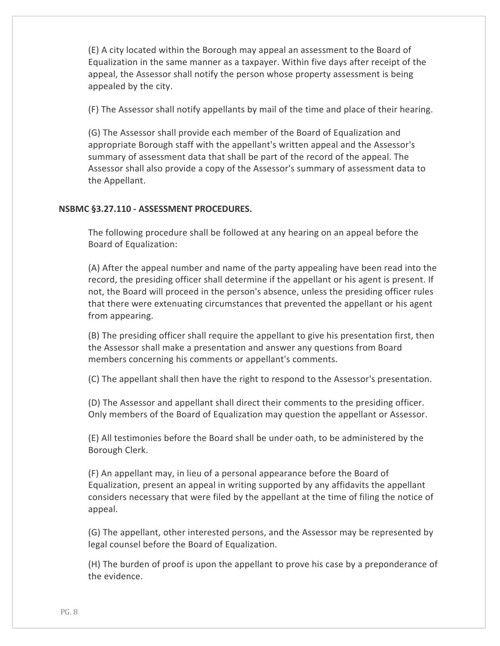(E) A city located within the Borough may appeal an assessment to the Board of Equalization in the same manner as a taxpayer. Within five days after receipt of the appeal, the Assessor shall notify the person whose property assessment is being appealed by the city.

(F) The Assessor shall notify appellants by mail of the time and place of their hearing.

(G) The Assessor shall provide each member of the Board of Equalization and appropriate Borough staff with the appellant's written appeal and the Assessor's summary of assessment data that shall be part of the record of the appeal. The Assessor shall also provide a copy of the Assessor's summary of assessment data to the Appellant.

## **NSBMC §3.27.110 ‐ ASSESSMENT PROCEDURES.**

The following procedure shall be followed at any hearing on an appeal before the Board of Equalization:

(A) After the appeal number and name of the party appealing have been read into the record, the presiding officer shall determine if the appellant or his agent is present. If not, the Board will proceed in the person's absence, unless the presiding officer rules that there were extenuating circumstances that prevented the appellant or his agent from appearing.

(B) The presiding officer shall require the appellant to give his presentation first, then the Assessor shall make a presentation and answer any questions from Board members concerning his comments or appellant's comments.

(C) The appellant shall then have the right to respond to the Assessor's presentation.

(D) The Assessor and appellant shall direct their comments to the presiding officer. Only members of the Board of Equalization may question the appellant or Assessor.

(E) All testimonies before the Board shall be under oath, to be administered by the Borough Clerk.

(F) An appellant may, in lieu of a personal appearance before the Board of Equalization, present an appeal in writing supported by any affidavits the appellant considers necessary that were filed by the appellant at the time of filing the notice of appeal.

(G) The appellant, other interested persons, and the Assessor may be represented by legal counsel before the Board of Equalization.

(H) The burden of proof is upon the appellant to prove his case by a preponderance of the evidence.